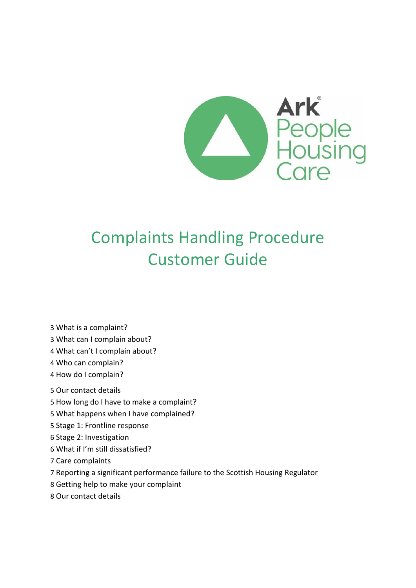

# Complaints Handling Procedure Customer Guide

- What [is a complaint?](file://///arkfs01/General/Q%20and%20C/Compliance%20and%20Improvement%20team/1.%20Complaints%20Records/New%20MCHP%20Work/Docs%20for%20Mary%20to%20add%20to%20Drive/G12a%20-%20Complaint%20Handling%20Procedure.docx%23_Toc31807581)
- [What can I complain about?](file://///arkfs01/General/Q%20and%20C/Compliance%20and%20Improvement%20team/1.%20Complaints%20Records/New%20MCHP%20Work/Docs%20for%20Mary%20to%20add%20to%20Drive/G12a%20-%20Complaint%20Handling%20Procedure.docx%23_Toc31807582)
- [What can't I complain about?](file://///arkfs01/General/Q%20and%20C/Compliance%20and%20Improvement%20team/1.%20Complaints%20Records/New%20MCHP%20Work/Docs%20for%20Mary%20to%20add%20to%20Drive/G12a%20-%20Complaint%20Handling%20Procedure.docx%23_Toc31807583)
- [Who can complain?](file://///arkfs01/General/Q%20and%20C/Compliance%20and%20Improvement%20team/1.%20Complaints%20Records/New%20MCHP%20Work/Docs%20for%20Mary%20to%20add%20to%20Drive/G12a%20-%20Complaint%20Handling%20Procedure.docx%23_Toc31807584)
- [How do I complain?](file://///arkfs01/General/Q%20and%20C/Compliance%20and%20Improvement%20team/1.%20Complaints%20Records/New%20MCHP%20Work/Docs%20for%20Mary%20to%20add%20to%20Drive/G12a%20-%20Complaint%20Handling%20Procedure.docx%23_Toc31807585)
- [Our contact details](file://///arkfs01/General/Q%20and%20C/Compliance%20and%20Improvement%20team/1.%20Complaints%20Records/New%20MCHP%20Work/Docs%20for%20Mary%20to%20add%20to%20Drive/G12a%20-%20Complaint%20Handling%20Procedure.docx%23_Toc31807586)
- [How long do I have to make a complaint?](file://///arkfs01/General/Q%20and%20C/Compliance%20and%20Improvement%20team/1.%20Complaints%20Records/New%20MCHP%20Work/Docs%20for%20Mary%20to%20add%20to%20Drive/G12a%20-%20Complaint%20Handling%20Procedure.docx%23_Toc31807587)
- What [happens when I have complained?](file://///arkfs01/General/Q%20and%20C/Compliance%20and%20Improvement%20team/1.%20Complaints%20Records/New%20MCHP%20Work/Docs%20for%20Mary%20to%20add%20to%20Drive/G12a%20-%20Complaint%20Handling%20Procedure.docx%23_Toc31807588)
- [Stage 1: Frontline response](file://///arkfs01/General/Q%20and%20C/Compliance%20and%20Improvement%20team/1.%20Complaints%20Records/New%20MCHP%20Work/Docs%20for%20Mary%20to%20add%20to%20Drive/G12a%20-%20Complaint%20Handling%20Procedure.docx%23_Toc31807589)
- [Stage 2: Investigation](file://///arkfs01/General/Q%20and%20C/Compliance%20and%20Improvement%20team/1.%20Complaints%20Records/New%20MCHP%20Work/Docs%20for%20Mary%20to%20add%20to%20Drive/G12a%20-%20Complaint%20Handling%20Procedure.docx%23_Toc31807590)
- [What if I'm still dissatisfied?](file://///arkfs01/General/Q%20and%20C/Compliance%20and%20Improvement%20team/1.%20Complaints%20Records/New%20MCHP%20Work/Docs%20for%20Mary%20to%20add%20to%20Drive/G12a%20-%20Complaint%20Handling%20Procedure.docx%23_Toc31807591)
- [Care complaints](file://///arkfs01/General/Q%20and%20C/Compliance%20and%20Improvement%20team/1.%20Complaints%20Records/New%20MCHP%20Work/Docs%20for%20Mary%20to%20add%20to%20Drive/G12a%20-%20Complaint%20Handling%20Procedure.docx%23_Toc31807592)
- [Reporting a significant performance failure to the Scottish Housing Regulator](file://///arkfs01/General/Q%20and%20C/Compliance%20and%20Improvement%20team/1.%20Complaints%20Records/New%20MCHP%20Work/Docs%20for%20Mary%20to%20add%20to%20Drive/G12a%20-%20Complaint%20Handling%20Procedure.docx%23_Toc31807593)
- [Getting help to make your complaint](file://///arkfs01/General/Q%20and%20C/Compliance%20and%20Improvement%20team/1.%20Complaints%20Records/New%20MCHP%20Work/Docs%20for%20Mary%20to%20add%20to%20Drive/G12a%20-%20Complaint%20Handling%20Procedure.docx%23_Toc31807594)
- [Our contact details](file://///arkfs01/General/Q%20and%20C/Compliance%20and%20Improvement%20team/1.%20Complaints%20Records/New%20MCHP%20Work/Docs%20for%20Mary%20to%20add%20to%20Drive/G12a%20-%20Complaint%20Handling%20Procedure.docx%23_Toc31807595)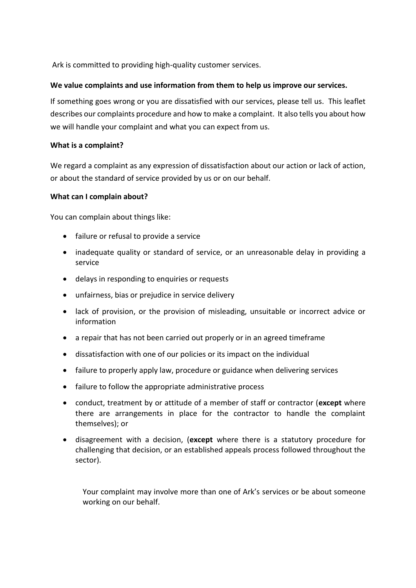Ark is committed to providing high-quality customer services.

#### **We value complaints and use information from them to help us improve our services.**

If something goes wrong or you are dissatisfied with our services, please tell us. This leaflet describes our complaints procedure and how to make a complaint. It also tells you about how we will handle your complaint and what you can expect from us.

#### **What is a complaint?**

We regard a complaint as any expression of dissatisfaction about our action or lack of action, or about the standard of service provided by us or on our behalf.

#### **What can I complain about?**

You can complain about things like:

- failure or refusal to provide a service
- inadequate quality or standard of service, or an unreasonable delay in providing a service
- delays in responding to enquiries or requests
- unfairness, bias or prejudice in service delivery
- lack of provision, or the provision of misleading, unsuitable or incorrect advice or information
- a repair that has not been carried out properly or in an agreed timeframe
- dissatisfaction with one of our policies or its impact on the individual
- failure to properly apply law, procedure or guidance when delivering services
- failure to follow the appropriate administrative process
- conduct, treatment by or attitude of a member of staff or contractor (**except** where there are arrangements in place for the contractor to handle the complaint themselves); or
- disagreement with a decision, (**except** where there is a statutory procedure for challenging that decision, or an established appeals process followed throughout the sector).

Your complaint may involve more than one of Ark's services or be about someone working on our behalf.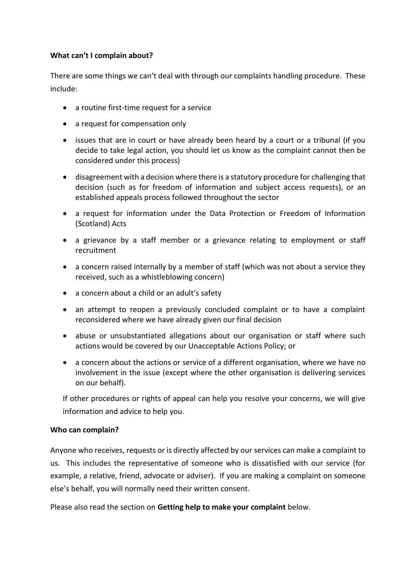## **What can't I complain about?**

There are some things we can't deal with through our complaints handling procedure. These include:

- a routine first-time request for a service
- a request for compensation only
- issues that are in court or have already been heard by a court or a tribunal (if you decide to take legal action, you should let us know as the complaint cannot then be considered under this process)
- disagreement with a decision where there is a statutory procedure for challenging that decision (such as for freedom of information and subject access requests), or an established appeals process followed throughout the sector
- a request for information under the Data Protection or Freedom of Information (Scotland) Acts
- a grievance by a staff member or a grievance relating to employment or staff recruitment
- a concern raised internally by a member of staff (which was not about a service they received, such as a whistleblowing concern)
- a concern about a child or an adult's safety
- an attempt to reopen a previously concluded complaint or to have a complaint reconsidered where we have already given our final decision
- abuse or unsubstantiated allegations about our organisation or staff where such actions would be covered by our Unacceptable Actions Policy; or
- a concern about the actions or service of a different organisation, where we have no involvement in the issue (except where the other organisation is delivering services on our behalf).

If other procedures or rights of appeal can help you resolve your concerns, we will give information and advice to help you.

## **Who can complain?**

Anyone who receives, requests or is directly affected by our services can make a complaint to us. This includes the representative of someone who is dissatisfied with our service (for example, a relative, friend, advocate or adviser). If you are making a complaint on someone else's behalf, you will normally need their written consent.

Please also read the section on **Getting help to make your complaint** below.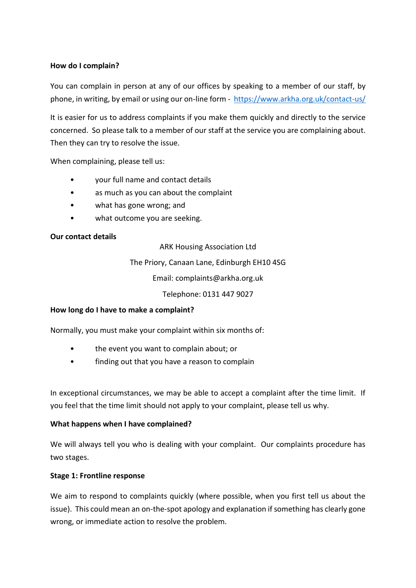## **How do I complain?**

You can complain in person at any of our offices by speaking to a member of our staff, by phone, in writing, by email or using our on-line form - <https://www.arkha.org.uk/contact-us/>

It is easier for us to address complaints if you make them quickly and directly to the service concerned. So please talk to a member of our staff at the service you are complaining about. Then they can try to resolve the issue.

When complaining, please tell us:

- your full name and contact details
- as much as you can about the complaint
- what has gone wrong; and
- what outcome you are seeking.

#### **Our contact details**

ARK Housing Association Ltd

The Priory, Canaan Lane, Edinburgh EH10 4SG

Email: complaints@arkha.org.uk

Telephone: 0131 447 9027

#### **How long do I have to make a complaint?**

Normally, you must make your complaint within six months of:

- the event you want to complain about; or
- finding out that you have a reason to complain

In exceptional circumstances, we may be able to accept a complaint after the time limit. If you feel that the time limit should not apply to your complaint, please tell us why.

#### **What happens when I have complained?**

We will always tell you who is dealing with your complaint. Our complaints procedure has two stages.

#### **Stage 1: Frontline response**

We aim to respond to complaints quickly (where possible, when you first tell us about the issue). This could mean an on-the-spot apology and explanation if something has clearly gone wrong, or immediate action to resolve the problem.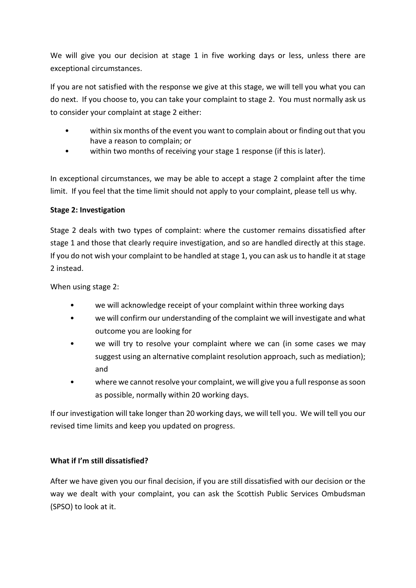We will give you our decision at stage 1 in five working days or less, unless there are exceptional circumstances.

If you are not satisfied with the response we give at this stage, we will tell you what you can do next. If you choose to, you can take your complaint to stage 2. You must normally ask us to consider your complaint at stage 2 either:

- within six months of the event you want to complain about or finding out that you have a reason to complain; or
- within two months of receiving your stage 1 response (if this is later).

In exceptional circumstances, we may be able to accept a stage 2 complaint after the time limit. If you feel that the time limit should not apply to your complaint, please tell us why.

## **Stage 2: Investigation**

Stage 2 deals with two types of complaint: where the customer remains dissatisfied after stage 1 and those that clearly require investigation, and so are handled directly at this stage. If you do not wish your complaint to be handled at stage 1, you can ask us to handle it at stage 2 instead.

When using stage 2:

- we will acknowledge receipt of your complaint within three working days
- we will confirm our understanding of the complaint we will investigate and what outcome you are looking for
- we will try to resolve your complaint where we can (in some cases we may suggest using an alternative complaint resolution approach, such as mediation); and
- where we cannot resolve your complaint, we will give you a full response as soon as possible, normally within 20 working days.

If our investigation will take longer than 20 working days, we will tell you. We will tell you our revised time limits and keep you updated on progress.

# **What if I'm still dissatisfied?**

After we have given you our final decision, if you are still dissatisfied with our decision or the way we dealt with your complaint, you can ask the Scottish Public Services Ombudsman (SPSO) to look at it.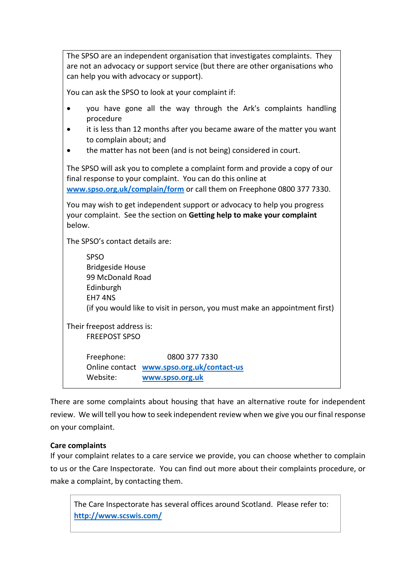The SPSO are an independent organisation that investigates complaints. They are not an advocacy or support service (but there are other organisations who can help you with advocacy or support). You can ask the SPSO to look at your complaint if: you have gone all the way through the Ark's complaints handling procedure it is less than 12 months after you became aware of the matter you want to complain about; and the matter has not been (and is not being) considered in court. The SPSO will ask you to complete a complaint form and provide a copy of our final response to your complaint. You can do this online at **[www.spso.org.uk/complain/form](http://www.spso.org.uk/complain/form)** or call them on Freephone 0800 377 7330. You may wish to get independent support or advocacy to help you progress your complaint. See the section on **Getting help to make your complaint** below. The SPSO's contact details are: SPSO Bridgeside House 99 McDonald Road Edinburgh EH7 4NS (if you would like to visit in person, you must make an appointment first) Their freepost address is: FREEPOST SPSO Freephone: 0800 377 7330 Online contact **[www.spso.org.uk/contact-us](http://www.spso.org.uk/contact-us)** Website: **[www.spso.org.uk](http://www.spso.org.uk/)**

There are some complaints about housing that have an alternative route for independent review. We will tell you how to seek independent review when we give you our final response on your complaint.

## **Care complaints**

If your complaint relates to a care service we provide, you can choose whether to complain to us or the Care Inspectorate. You can find out more about their complaints procedure, or make a complaint, by contacting them.

The Care Inspectorate has several offices around Scotland. Please refer to: **<http://www.scswis.com/>**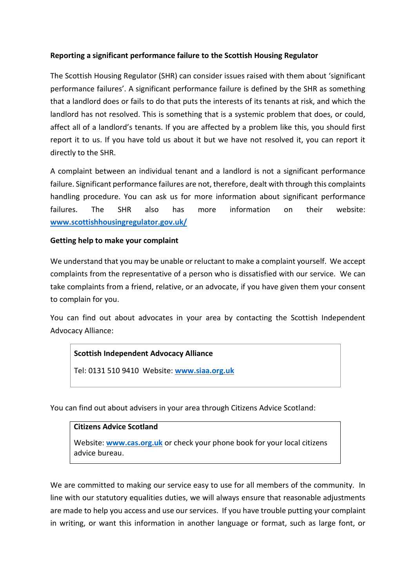## **Reporting a significant performance failure to the Scottish Housing Regulator**

The Scottish Housing Regulator (SHR) can consider issues raised with them about 'significant performance failures'. A significant performance failure is defined by the SHR as something that a landlord does or fails to do that puts the interests of its tenants at risk, and which the landlord has not resolved. This is something that is a systemic problem that does, or could, affect all of a landlord's tenants. If you are affected by a problem like this, you should first report it to us. If you have told us about it but we have not resolved it, you can report it directly to the SHR.

A complaint between an individual tenant and a landlord is not a significant performance failure. Significant performance failures are not, therefore, dealt with through this complaints handling procedure. You can ask us for more information about significant performance failures. The SHR also has more information on their website: **[www.scottishhousingregulator.gov.uk/](file://///arkfs01/userhome/dboucher/chromedownloads/www.scottishhousingregulator.gov.uk/)**

## **Getting help to make your complaint**

We understand that you may be unable or reluctant to make a complaint yourself. We accept complaints from the representative of a person who is dissatisfied with our service. We can take complaints from a friend, relative, or an advocate, if you have given them your consent to complain for you.

You can find out about advocates in your area by contacting the Scottish Independent Advocacy Alliance:

## **Scottish Independent Advocacy Alliance**

Tel: 0131 510 9410 Website: **[www.siaa.org.uk](file://///arkfs01/userhome/dboucher/chromedownloads/www.siaa.org.uk)**

You can find out about advisers in your area through Citizens Advice Scotland:

#### **Citizens Advice Scotland**

Website: **[www.cas.org.uk](file://///arkfs01/userhome/dboucher/chromedownloads/www.cas.org.uk)** or check your phone book for your local citizens advice bureau.

We are committed to making our service easy to use for all members of the community. In line with our statutory equalities duties, we will always ensure that reasonable adjustments are made to help you access and use our services. If you have trouble putting your complaint in writing, or want this information in another language or format, such as large font, or